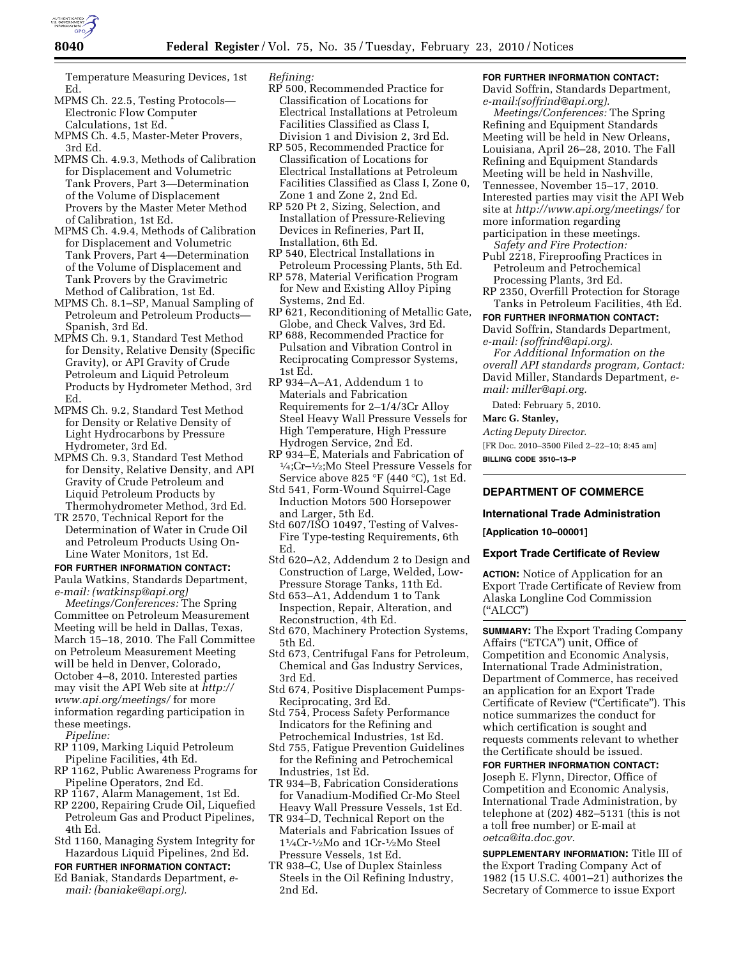

Temperature Measuring Devices, 1st Ed.

- MPMS Ch. 22.5, Testing Protocols— Electronic Flow Computer Calculations, 1st Ed.
- MPMS Ch. 4.5, Master-Meter Provers, 3rd Ed.
- MPMS Ch. 4.9.3, Methods of Calibration for Displacement and Volumetric Tank Provers, Part 3—Determination of the Volume of Displacement Provers by the Master Meter Method of Calibration, 1st Ed.
- MPMS Ch. 4.9.4, Methods of Calibration for Displacement and Volumetric Tank Provers, Part 4—Determination of the Volume of Displacement and Tank Provers by the Gravimetric Method of Calibration, 1st Ed.
- MPMS Ch. 8.1–SP, Manual Sampling of Petroleum and Petroleum Products— Spanish, 3rd Ed.
- MPMS Ch. 9.1, Standard Test Method for Density, Relative Density (Specific Gravity), or API Gravity of Crude Petroleum and Liquid Petroleum Products by Hydrometer Method, 3rd Ed.
- MPMS Ch. 9.2, Standard Test Method for Density or Relative Density of Light Hydrocarbons by Pressure Hydrometer, 3rd Ed.
- MPMS Ch. 9.3, Standard Test Method for Density, Relative Density, and API Gravity of Crude Petroleum and Liquid Petroleum Products by Thermohydrometer Method, 3rd Ed.
- TR 2570, Technical Report for the Determination of Water in Crude Oil and Petroleum Products Using On-Line Water Monitors, 1st Ed.

#### **FOR FURTHER INFORMATION CONTACT:**

Paula Watkins, Standards Department, *e-mail: (watkinsp@api.org)* 

*Meetings/Conferences:* The Spring Committee on Petroleum Measurement Meeting will be held in Dallas, Texas, March 15–18, 2010. The Fall Committee on Petroleum Measurement Meeting will be held in Denver, Colorado, October 4–8, 2010. Interested parties may visit the API Web site at *http:// www.api.org/meetings/* for more information regarding participation in these meetings.

*Pipeline:* 

- RP 1109, Marking Liquid Petroleum Pipeline Facilities, 4th Ed.
- RP 1162, Public Awareness Programs for Pipeline Operators, 2nd Ed.
- RP 1167, Alarm Management, 1st Ed.
- RP 2200, Repairing Crude Oil, Liquefied Petroleum Gas and Product Pipelines, 4th Ed.
- Std 1160, Managing System Integrity for Hazardous Liquid Pipelines, 2nd Ed.

# **FOR FURTHER INFORMATION CONTACT:**

Ed Baniak, Standards Department, *email: (baniake@api.org).* 

*Refining:* 

- RP 500, Recommended Practice for Classification of Locations for Electrical Installations at Petroleum Facilities Classified as Class I, Division 1 and Division 2, 3rd Ed.
- RP 505, Recommended Practice for Classification of Locations for Electrical Installations at Petroleum Facilities Classified as Class I, Zone 0, Zone 1 and Zone 2, 2nd Ed.
- RP 520 Pt 2, Sizing, Selection, and Installation of Pressure-Relieving Devices in Refineries, Part II, Installation, 6th Ed.
- RP 540, Electrical Installations in Petroleum Processing Plants, 5th Ed.
- RP 578, Material Verification Program for New and Existing Alloy Piping Systems, 2nd Ed.
- RP 621, Reconditioning of Metallic Gate, Globe, and Check Valves, 3rd Ed.
- RP 688, Recommended Practice for Pulsation and Vibration Control in Reciprocating Compressor Systems, 1st Ed.
- RP 934–A–A1, Addendum 1 to Materials and Fabrication Requirements for 2–1/4/3Cr Alloy Steel Heavy Wall Pressure Vessels for High Temperature, High Pressure Hydrogen Service, 2nd Ed.
- RP 934–E, Materials and Fabrication of  $\frac{1}{4}$ ;Cr– $\frac{1}{2}$ ;Mo Steel Pressure Vessels for Service above 825 °F (440 °C), 1st Ed.
- Std 541, Form-Wound Squirrel-Cage Induction Motors 500 Horsepower and Larger, 5th Ed.
- Std 607/ISO 10497, Testing of Valves-Fire Type-testing Requirements, 6th Ed.
- Std 620–A2, Addendum 2 to Design and Construction of Large, Welded, Low-Pressure Storage Tanks, 11th Ed.
- Std 653–A1, Addendum 1 to Tank Inspection, Repair, Alteration, and Reconstruction, 4th Ed.
- Std 670, Machinery Protection Systems, 5th Ed.
- Std 673, Centrifugal Fans for Petroleum, Chemical and Gas Industry Services, 3rd Ed.
- Std 674, Positive Displacement Pumps-Reciprocating, 3rd Ed.
- Std 754, Process Safety Performance Indicators for the Refining and Petrochemical Industries, 1st Ed.
- Std 755, Fatigue Prevention Guidelines for the Refining and Petrochemical Industries, 1st Ed.
- TR 934–B, Fabrication Considerations for Vanadium-Modified Cr-Mo Steel Heavy Wall Pressure Vessels, 1st Ed.
- TR 934–D, Technical Report on the Materials and Fabrication Issues of 11⁄4Cr-1⁄2Mo and 1Cr-1⁄2Mo Steel Pressure Vessels, 1st Ed.
- TR 938–C, Use of Duplex Stainless Steels in the Oil Refining Industry, 2nd Ed.

# **FOR FURTHER INFORMATION CONTACT:**

David Soffrin, Standards Department, *e-mail:(soffrind@api.org).* 

*Meetings/Conferences:* The Spring Refining and Equipment Standards Meeting will be held in New Orleans, Louisiana, April 26–28, 2010. The Fall Refining and Equipment Standards Meeting will be held in Nashville, Tennessee, November 15–17, 2010. Interested parties may visit the API Web site at *http://www.api.org/meetings/* for more information regarding participation in these meetings.

- *Safety and Fire Protection:*  Publ 2218, Fireproofing Practices in Petroleum and Petrochemical
- Processing Plants, 3rd Ed. RP 2350, Overfill Protection for Storage
- Tanks in Petroleum Facilities, 4th Ed.

**FOR FURTHER INFORMATION CONTACT:**  David Soffrin, Standards Department, *e-mail: (soffrind@api.org).* 

*For Additional Information on the overall API standards program, Contact:*  David Miller, Standards Department, *email: miller@api.org.* 

Dated: February 5, 2010.

# **Marc G. Stanley,**

*Acting Deputy Director.* 

[FR Doc. 2010–3500 Filed 2–22–10; 8:45 am]

**BILLING CODE 3510–13–P** 

# **DEPARTMENT OF COMMERCE**

### **International Trade Administration**

**[Application 10–00001]** 

#### **Export Trade Certificate of Review**

**ACTION:** Notice of Application for an Export Trade Certificate of Review from Alaska Longline Cod Commission (''ALCC'')

**SUMMARY:** The Export Trading Company Affairs ("ETCA") unit, Office of Competition and Economic Analysis, International Trade Administration, Department of Commerce, has received an application for an Export Trade Certificate of Review (''Certificate''). This notice summarizes the conduct for which certification is sought and requests comments relevant to whether the Certificate should be issued.

# **FOR FURTHER INFORMATION CONTACT:**

Joseph E. Flynn, Director, Office of Competition and Economic Analysis, International Trade Administration, by telephone at (202) 482–5131 (this is not a toll free number) or E-mail at *oetca@ita.doc.gov.* 

**SUPPLEMENTARY INFORMATION:** Title III of the Export Trading Company Act of 1982 (15 U.S.C. 4001–21) authorizes the Secretary of Commerce to issue Export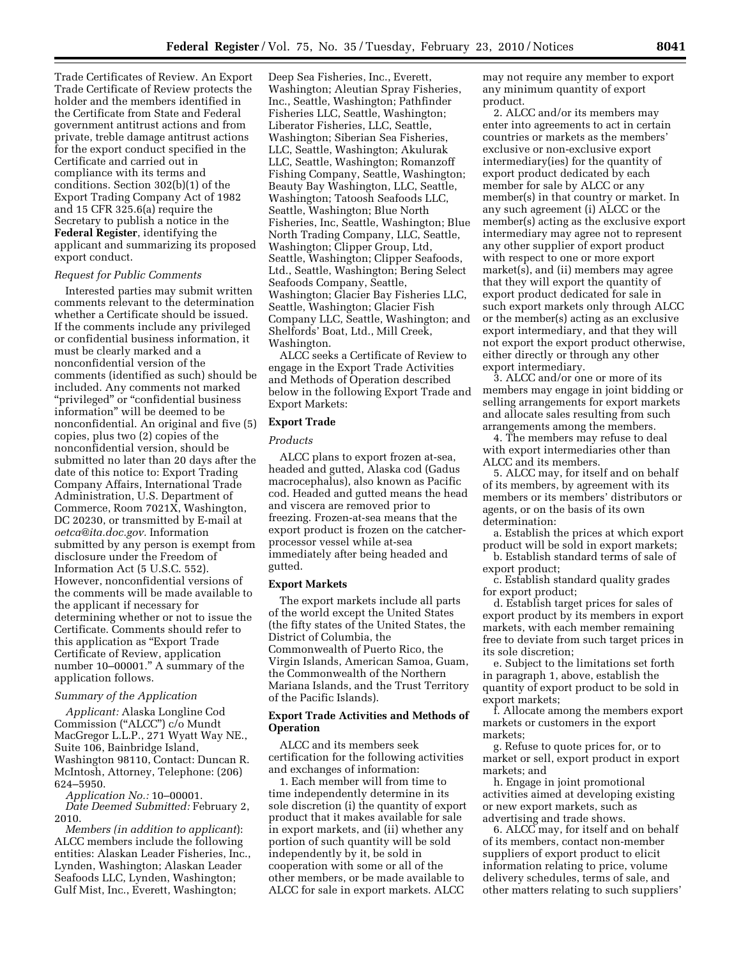Trade Certificates of Review. An Export Trade Certificate of Review protects the holder and the members identified in the Certificate from State and Federal government antitrust actions and from private, treble damage antitrust actions for the export conduct specified in the Certificate and carried out in compliance with its terms and conditions. Section 302(b)(1) of the Export Trading Company Act of 1982 and 15 CFR 325.6(a) require the Secretary to publish a notice in the **Federal Register**, identifying the applicant and summarizing its proposed export conduct.

# *Request for Public Comments*

Interested parties may submit written comments relevant to the determination whether a Certificate should be issued. If the comments include any privileged or confidential business information, it must be clearly marked and a nonconfidential version of the comments (identified as such) should be included. Any comments not marked "privileged" or "confidential business information'' will be deemed to be nonconfidential. An original and five (5) copies, plus two (2) copies of the nonconfidential version, should be submitted no later than 20 days after the date of this notice to: Export Trading Company Affairs, International Trade Administration, U.S. Department of Commerce, Room 7021X, Washington, DC 20230, or transmitted by E-mail at *oetca@ita.doc.gov.* Information submitted by any person is exempt from disclosure under the Freedom of Information Act (5 U.S.C. 552). However, nonconfidential versions of the comments will be made available to the applicant if necessary for determining whether or not to issue the Certificate. Comments should refer to this application as ''Export Trade Certificate of Review, application number 10–00001.'' A summary of the application follows.

# *Summary of the Application*

*Applicant:* Alaska Longline Cod Commission (''ALCC'') c/o Mundt MacGregor L.L.P., 271 Wyatt Way NE., Suite 106, Bainbridge Island, Washington 98110, Contact: Duncan R. McIntosh, Attorney, Telephone: (206) 624–5950.

*Application No.:* 10–00001.

*Date Deemed Submitted:* February 2, 2010.

*Members (in addition to applicant*): ALCC members include the following entities: Alaskan Leader Fisheries, Inc., Lynden, Washington; Alaskan Leader Seafoods LLC, Lynden, Washington; Gulf Mist, Inc., Everett, Washington;

Deep Sea Fisheries, Inc., Everett, Washington; Aleutian Spray Fisheries, Inc., Seattle, Washington; Pathfinder Fisheries LLC, Seattle, Washington; Liberator Fisheries, LLC, Seattle, Washington; Siberian Sea Fisheries, LLC, Seattle, Washington; Akulurak LLC, Seattle, Washington; Romanzoff Fishing Company, Seattle, Washington; Beauty Bay Washington, LLC, Seattle, Washington; Tatoosh Seafoods LLC, Seattle, Washington; Blue North Fisheries, Inc, Seattle, Washington; Blue North Trading Company, LLC, Seattle, Washington; Clipper Group, Ltd, Seattle, Washington; Clipper Seafoods, Ltd., Seattle, Washington; Bering Select Seafoods Company, Seattle, Washington; Glacier Bay Fisheries LLC, Seattle, Washington; Glacier Fish Company LLC, Seattle, Washington; and Shelfords' Boat, Ltd., Mill Creek, Washington.

ALCC seeks a Certificate of Review to engage in the Export Trade Activities and Methods of Operation described below in the following Export Trade and Export Markets:

### **Export Trade**

#### *Products*

ALCC plans to export frozen at-sea, headed and gutted, Alaska cod (Gadus macrocephalus), also known as Pacific cod. Headed and gutted means the head and viscera are removed prior to freezing. Frozen-at-sea means that the export product is frozen on the catcherprocessor vessel while at-sea immediately after being headed and gutted.

#### **Export Markets**

The export markets include all parts of the world except the United States (the fifty states of the United States, the District of Columbia, the Commonwealth of Puerto Rico, the Virgin Islands, American Samoa, Guam, the Commonwealth of the Northern Mariana Islands, and the Trust Territory of the Pacific Islands).

# **Export Trade Activities and Methods of Operation**

ALCC and its members seek certification for the following activities and exchanges of information:

1. Each member will from time to time independently determine in its sole discretion (i) the quantity of export product that it makes available for sale in export markets, and (ii) whether any portion of such quantity will be sold independently by it, be sold in cooperation with some or all of the other members, or be made available to ALCC for sale in export markets. ALCC

may not require any member to export any minimum quantity of export product.

2. ALCC and/or its members may enter into agreements to act in certain countries or markets as the members' exclusive or non-exclusive export intermediary(ies) for the quantity of export product dedicated by each member for sale by ALCC or any member(s) in that country or market. In any such agreement (i) ALCC or the member(s) acting as the exclusive export intermediary may agree not to represent any other supplier of export product with respect to one or more export market(s), and (ii) members may agree that they will export the quantity of export product dedicated for sale in such export markets only through ALCC or the member(s) acting as an exclusive export intermediary, and that they will not export the export product otherwise, either directly or through any other export intermediary.

3. ALCC and/or one or more of its members may engage in joint bidding or selling arrangements for export markets and allocate sales resulting from such arrangements among the members.

4. The members may refuse to deal with export intermediaries other than ALCC and its members.

5. ALCC may, for itself and on behalf of its members, by agreement with its members or its members' distributors or agents, or on the basis of its own determination:

a. Establish the prices at which export product will be sold in export markets;

b. Establish standard terms of sale of export product;

c. Establish standard quality grades for export product;

d. Establish target prices for sales of export product by its members in export markets, with each member remaining free to deviate from such target prices in its sole discretion;

e. Subject to the limitations set forth in paragraph 1, above, establish the quantity of export product to be sold in export markets;

f. Allocate among the members export markets or customers in the export markets;

g. Refuse to quote prices for, or to market or sell, export product in export markets; and

h. Engage in joint promotional activities aimed at developing existing or new export markets, such as advertising and trade shows.

6. ALCC may, for itself and on behalf of its members, contact non-member suppliers of export product to elicit information relating to price, volume delivery schedules, terms of sale, and other matters relating to such suppliers'